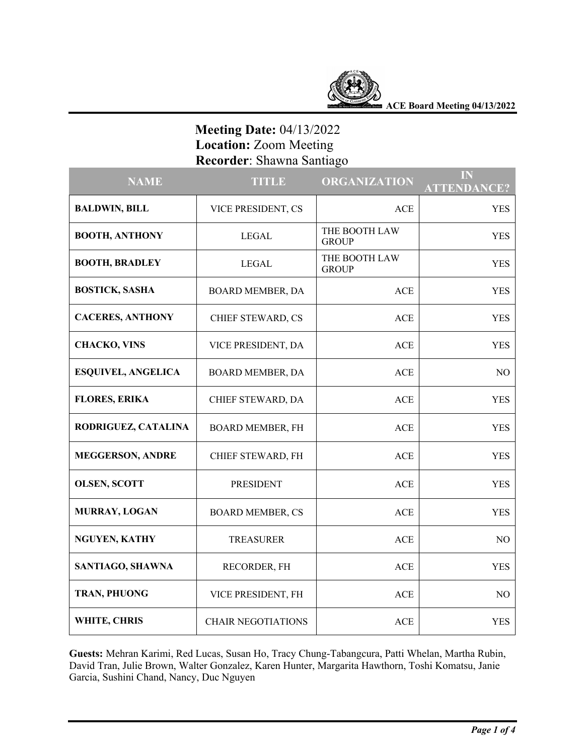

**ACE Board Meeting 04/13/2022**

# **Meeting Date:** 04/13/2022  **Location:** Zoom Meeting  **Recorder**: Shawna Santiago

| <b>NAME</b>               | <b>TITLE</b>              | <b>ORGANIZATION</b>           | IN<br><b>ATTENDANCE?</b> |
|---------------------------|---------------------------|-------------------------------|--------------------------|
| <b>BALDWIN, BILL</b>      | VICE PRESIDENT, CS        | ACE                           | <b>YES</b>               |
| <b>BOOTH, ANTHONY</b>     | <b>LEGAL</b>              | THE BOOTH LAW<br><b>GROUP</b> | <b>YES</b>               |
| <b>BOOTH, BRADLEY</b>     | <b>LEGAL</b>              | THE BOOTH LAW<br><b>GROUP</b> | <b>YES</b>               |
| <b>BOSTICK, SASHA</b>     | BOARD MEMBER, DA          | ACE                           | <b>YES</b>               |
| <b>CACERES, ANTHONY</b>   | CHIEF STEWARD, CS         | ACE                           | <b>YES</b>               |
| <b>CHACKO, VINS</b>       | VICE PRESIDENT, DA        | <b>ACE</b>                    | <b>YES</b>               |
| <b>ESQUIVEL, ANGELICA</b> | BOARD MEMBER, DA          | <b>ACE</b>                    | NO.                      |
| <b>FLORES, ERIKA</b>      | CHIEF STEWARD, DA         | ACE                           | <b>YES</b>               |
| RODRIGUEZ, CATALINA       | BOARD MEMBER, FH          | ACE                           | <b>YES</b>               |
| <b>MEGGERSON, ANDRE</b>   | CHIEF STEWARD, FH         | ACE                           | <b>YES</b>               |
| <b>OLSEN, SCOTT</b>       | <b>PRESIDENT</b>          | ACE                           | <b>YES</b>               |
| MURRAY, LOGAN             | <b>BOARD MEMBER, CS</b>   | ACE                           | <b>YES</b>               |
| <b>NGUYEN, KATHY</b>      | <b>TREASURER</b>          | ACE                           | NO                       |
| SANTIAGO, SHAWNA          | RECORDER, FH              | <b>ACE</b>                    | <b>YES</b>               |
| TRAN, PHUONG              | VICE PRESIDENT, FH        | ACE                           | NO                       |
| WHITE, CHRIS              | <b>CHAIR NEGOTIATIONS</b> | <b>ACE</b>                    | <b>YES</b>               |

**Guests:** Mehran Karimi, Red Lucas, Susan Ho, Tracy Chung-Tabangcura, Patti Whelan, Martha Rubin, David Tran, Julie Brown, Walter Gonzalez, Karen Hunter, Margarita Hawthorn, Toshi Komatsu, Janie Garcia, Sushini Chand, Nancy, Duc Nguyen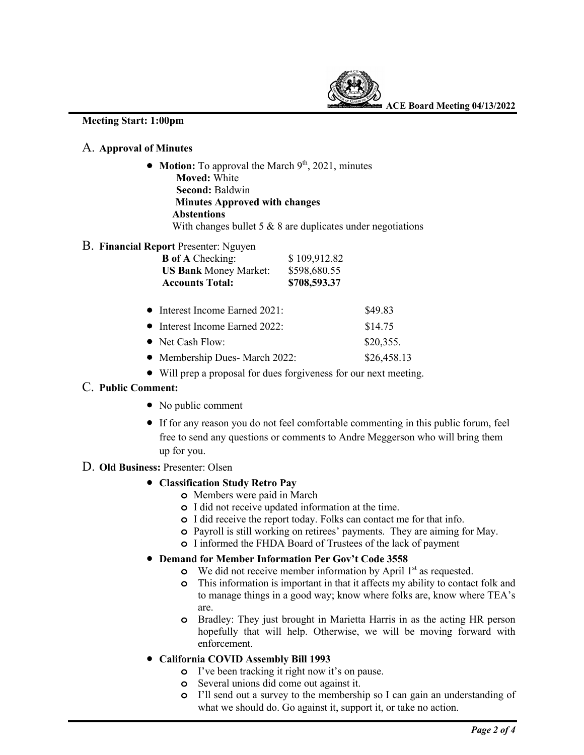

#### **Meeting Start: 1:00pm**

## A. **Approval of Minutes**

• **Motion:** To approval the March 9<sup>th</sup>, 2021, minutes  **Moved:** White  **Second:** Baldwin  **Minutes Approved with changes Abstentions**  With changes bullet 5 & 8 are duplicates under negotiations

## B. **Financial Report** Presenter: Nguyen

| $1.66$ and $1.66$ cm. $1.66$ and $1.60$ |              |  |
|-----------------------------------------|--------------|--|
| <b>B</b> of A Checking:                 | \$109,912.82 |  |
| <b>US Bank Money Market:</b>            | \$598,680.55 |  |
| <b>Accounts Total:</b>                  | \$708,593.37 |  |
| $\bullet$ Interest Income Earned 2021:  | \$49.83      |  |
| • Interest Income Earned 2022:          | \$14.75      |  |
| $\bullet$ Net Cash Flow:                | \$20,355.    |  |
| • Membership Dues- March 2022:          | \$26,458.13  |  |

• Will prep a proposal for dues forgiveness for our next meeting.

## C. **Public Comment:**

- No public comment
- If for any reason you do not feel comfortable commenting in this public forum, feel free to send any questions or comments to Andre Meggerson who will bring them up for you.

#### D. **Old Business:** Presenter: Olsen

#### • **Classification Study Retro Pay**

- **o** Members were paid in March
- **o** I did not receive updated information at the time.
- **o** I did receive the report today. Folks can contact me for that info.
- **o** Payroll is still working on retirees' payments. They are aiming for May.
- **o** I informed the FHDA Board of Trustees of the lack of payment

## • **Demand for Member Information Per Gov't Code 3558**

- **o** We did not receive member information by April 1<sup>st</sup> as requested.
- **o** This information is important in that it affects my ability to contact folk and to manage things in a good way; know where folks are, know where TEA's are.
- **o** Bradley: They just brought in Marietta Harris in as the acting HR person hopefully that will help. Otherwise, we will be moving forward with enforcement.

## • **California COVID Assembly Bill 1993**

- **o** I've been tracking it right now it's on pause.
- **o** Several unions did come out against it.
- **o** I'll send out a survey to the membership so I can gain an understanding of what we should do. Go against it, support it, or take no action.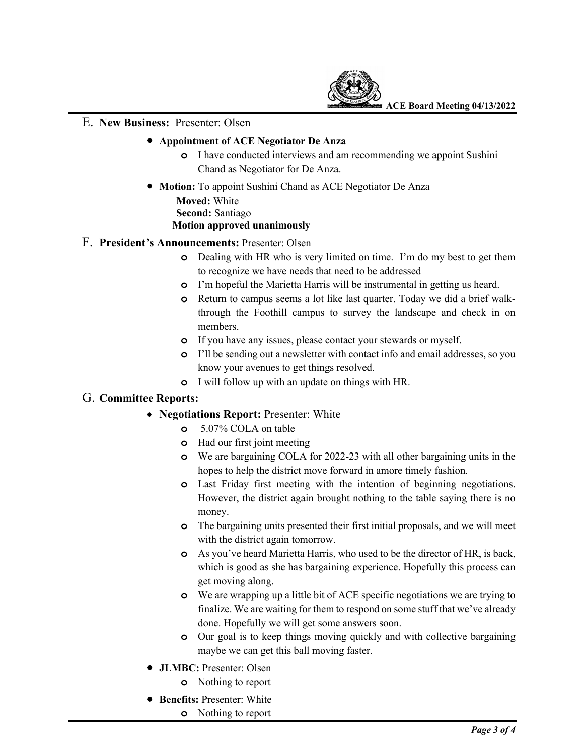

**ACE Board Meeting 04/13/2022**

#### E. **New Business:** Presenter: Olsen

#### • **Appointment of ACE Negotiator De Anza**

- **o** I have conducted interviews and am recommending we appoint Sushini Chand as Negotiator for De Anza.
- **Motion:** To appoint Sushini Chand as ACE Negotiator De Anza **Moved:** White  **Second:** Santiago **Motion approved unanimously**

## F. **President's Announcements:** Presenter: Olsen

- **o** Dealing with HR who is very limited on time. I'm do my best to get them to recognize we have needs that need to be addressed
- **o** I'm hopeful the Marietta Harris will be instrumental in getting us heard.
- **o** Return to campus seems a lot like last quarter. Today we did a brief walkthrough the Foothill campus to survey the landscape and check in on members.
- **o** If you have any issues, please contact your stewards or myself.
- **o** I'll be sending out a newsletter with contact info and email addresses, so you know your avenues to get things resolved.
- **o** I will follow up with an update on things with HR.

## G. **Committee Reports:**

- **Negotiations Report:** Presenter: White
	- **o** 5.07% COLA on table
	- **o** Had our first joint meeting
	- **o** We are bargaining COLA for 2022-23 with all other bargaining units in the hopes to help the district move forward in amore timely fashion.
	- **o** Last Friday first meeting with the intention of beginning negotiations. However, the district again brought nothing to the table saying there is no money.
	- **o** The bargaining units presented their first initial proposals, and we will meet with the district again tomorrow.
	- **o** As you've heard Marietta Harris, who used to be the director of HR, is back, which is good as she has bargaining experience. Hopefully this process can get moving along.
	- **o** We are wrapping up a little bit of ACE specific negotiations we are trying to finalize. We are waiting for them to respond on some stuff that we've already done. Hopefully we will get some answers soon.
	- **o** Our goal is to keep things moving quickly and with collective bargaining maybe we can get this ball moving faster.
- **JLMBC:** Presenter: Olsen
	- **o** Nothing to report
- **Benefits:** Presenter: White
	- **o** Nothing to report